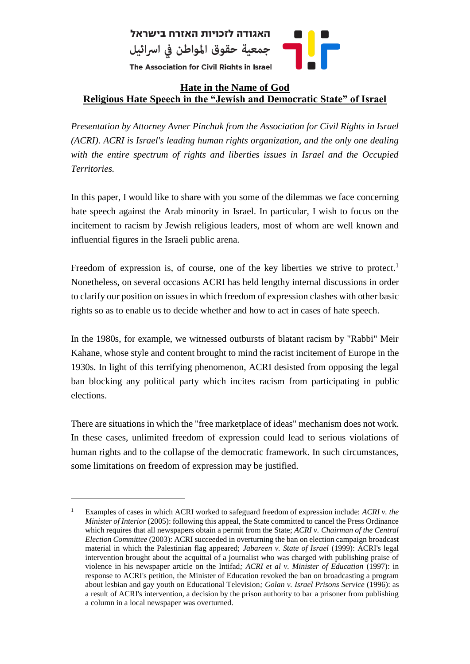

## **Hate in the Name of God Religious Hate Speech in the "Jewish and Democratic State" of Israel**

*Presentation by Attorney Avner Pinchuk from the Association for Civil Rights in Israel (ACRI). ACRI is Israel's leading human rights organization, and the only one dealing with the entire spectrum of rights and liberties issues in Israel and the Occupied Territories.* 

In this paper, I would like to share with you some of the dilemmas we face concerning hate speech against the Arab minority in Israel. In particular, I wish to focus on the incitement to racism by Jewish religious leaders, most of whom are well known and influential figures in the Israeli public arena.

Freedom of expression is, of course, one of the key liberties we strive to protect.<sup>1</sup> Nonetheless, on several occasions ACRI has held lengthy internal discussions in order to clarify our position on issues in which freedom of expression clashes with other basic rights so as to enable us to decide whether and how to act in cases of hate speech.

In the 1980s, for example, we witnessed outbursts of blatant racism by "Rabbi" Meir Kahane, whose style and content brought to mind the racist incitement of Europe in the 1930s. In light of this terrifying phenomenon, ACRI desisted from opposing the legal ban blocking any political party which incites racism from participating in public elections.

There are situations in which the "free marketplace of ideas" mechanism does not work. In these cases, unlimited freedom of expression could lead to serious violations of human rights and to the collapse of the democratic framework. In such circumstances, some limitations on freedom of expression may be justified.

<sup>&</sup>lt;sup>1</sup> Examples of cases in which ACRI worked to safeguard freedom of expression include: *ACRI v. the Minister of Interior* (2005): following this appeal, the State committed to cancel the Press Ordinance which requires that all newspapers obtain a permit from the State; *ACRI v. Chairman of the Central Election Committee* (2003): ACRI succeeded in overturning the ban on election campaign broadcast material in which the Palestinian flag appeared; *Jabareen v. State of Israel* (1999): ACRI's legal intervention brought about the acquittal of a journalist who was charged with publishing praise of violence in his newspaper article on the Intifad*; ACRI et al v. Minister of Education* (1997): in response to ACRI's petition, the Minister of Education revoked the ban on broadcasting a program about lesbian and gay youth on Educational Television*; Golan v. Israel Prisons Service* (1996): as a result of ACRI's intervention, a decision by the prison authority to bar a prisoner from publishing a column in a local newspaper was overturned.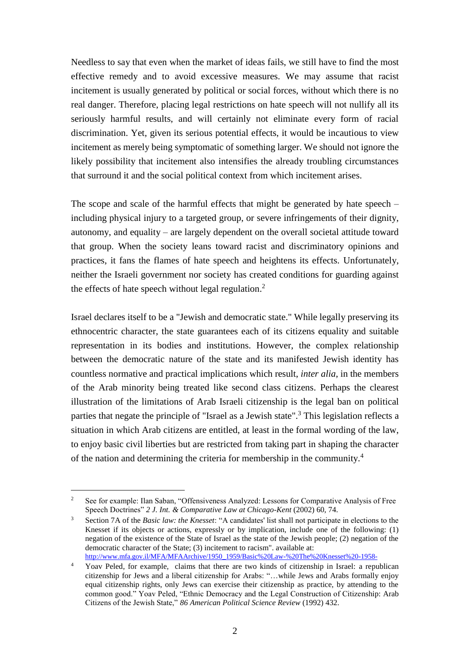Needless to say that even when the market of ideas fails, we still have to find the most effective remedy and to avoid excessive measures. We may assume that racist incitement is usually generated by political or social forces, without which there is no real danger. Therefore, placing legal restrictions on hate speech will not nullify all its seriously harmful results, and will certainly not eliminate every form of racial discrimination. Yet, given its serious potential effects, it would be incautious to view incitement as merely being symptomatic of something larger. We should not ignore the likely possibility that incitement also intensifies the already troubling circumstances that surround it and the social political context from which incitement arises.

The scope and scale of the harmful effects that might be generated by hate speech – including physical injury to a targeted group, or severe infringements of their dignity, autonomy, and equality – are largely dependent on the overall societal attitude toward that group. When the society leans toward racist and discriminatory opinions and practices, it fans the flames of hate speech and heightens its effects. Unfortunately, neither the Israeli government nor society has created conditions for guarding against the effects of hate speech without legal regulation.<sup>2</sup>

Israel declares itself to be a "Jewish and democratic state." While legally preserving its ethnocentric character, the state guarantees each of its citizens equality and suitable representation in its bodies and institutions. However, the complex relationship between the democratic nature of the state and its manifested Jewish identity has countless normative and practical implications which result, *inter alia*, in the members of the Arab minority being treated like second class citizens. Perhaps the clearest illustration of the limitations of Arab Israeli citizenship is the legal ban on political parties that negate the principle of "Israel as a Jewish state".<sup>3</sup> This legislation reflects a situation in which Arab citizens are entitled, at least in the formal wording of the law, to enjoy basic civil liberties but are restricted from taking part in shaping the character of the nation and determining the criteria for membership in the community. 4

<sup>&</sup>lt;sup>2</sup> See for example: Ilan Saban, "Offensiveness Analyzed: Lessons for Comparative Analysis of Free Speech Doctrines" *2 J. Int. & Comparative Law at Chicago-Kent* (2002) 60, 74.

<sup>3</sup> Section 7A of the *Basic law: the Knesset*: "A candidates' list shall not participate in elections to the Knesset if its objects or actions, expressly or by implication, include one of the following: (1) negation of the existence of the State of Israel as the state of the Jewish people; (2) negation of the democratic character of the State; (3) incitement to racism". available at: [http://www.mfa.gov.il/MFA/MFAArchive/1950\\_1959/Basic%20Law-%20The%20Knesset%20-1958-](http://www.mfa.gov.il/MFA/MFAArchive/1950_1959/Basic%20Law-%20The%20Knesset%20-1958-)

<sup>4</sup> Yoav Peled, for example, claims that there are two kinds of citizenship in Israel: a republican citizenship for Jews and a liberal citizenship for Arabs: "…while Jews and Arabs formally enjoy equal citizenship rights, only Jews can exercise their citizenship as practice, by attending to the common good." Yoav Peled, "Ethnic Democracy and the Legal Construction of Citizenship: Arab Citizens of the Jewish State," *86 American Political Science Review* (1992) 432.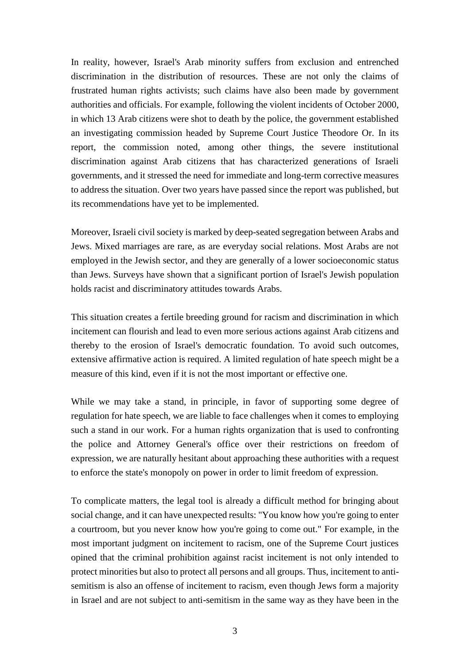In reality, however, Israel's Arab minority suffers from exclusion and entrenched discrimination in the distribution of resources. These are not only the claims of frustrated human rights activists; such claims have also been made by government authorities and officials. For example, following the violent incidents of October 2000, in which 13 Arab citizens were shot to death by the police, the government established an investigating commission headed by Supreme Court Justice Theodore Or. In its report, the commission noted, among other things, the severe institutional discrimination against Arab citizens that has characterized generations of Israeli governments, and it stressed the need for immediate and long-term corrective measures to address the situation. Over two years have passed since the report was published, but its recommendations have yet to be implemented.

Moreover, Israeli civil society is marked by deep-seated segregation between Arabs and Jews. Mixed marriages are rare, as are everyday social relations. Most Arabs are not employed in the Jewish sector, and they are generally of a lower socioeconomic status than Jews. Surveys have shown that a significant portion of Israel's Jewish population holds racist and discriminatory attitudes towards Arabs.

This situation creates a fertile breeding ground for racism and discrimination in which incitement can flourish and lead to even more serious actions against Arab citizens and thereby to the erosion of Israel's democratic foundation. To avoid such outcomes, extensive affirmative action is required. A limited regulation of hate speech might be a measure of this kind, even if it is not the most important or effective one.

While we may take a stand, in principle, in favor of supporting some degree of regulation for hate speech, we are liable to face challenges when it comes to employing such a stand in our work. For a human rights organization that is used to confronting the police and Attorney General's office over their restrictions on freedom of expression, we are naturally hesitant about approaching these authorities with a request to enforce the state's monopoly on power in order to limit freedom of expression.

To complicate matters, the legal tool is already a difficult method for bringing about social change, and it can have unexpected results: "You know how you're going to enter a courtroom, but you never know how you're going to come out." For example, in the most important judgment on incitement to racism, one of the Supreme Court justices opined that the criminal prohibition against racist incitement is not only intended to protect minorities but also to protect all persons and all groups. Thus, incitement to antisemitism is also an offense of incitement to racism, even though Jews form a majority in Israel and are not subject to anti-semitism in the same way as they have been in the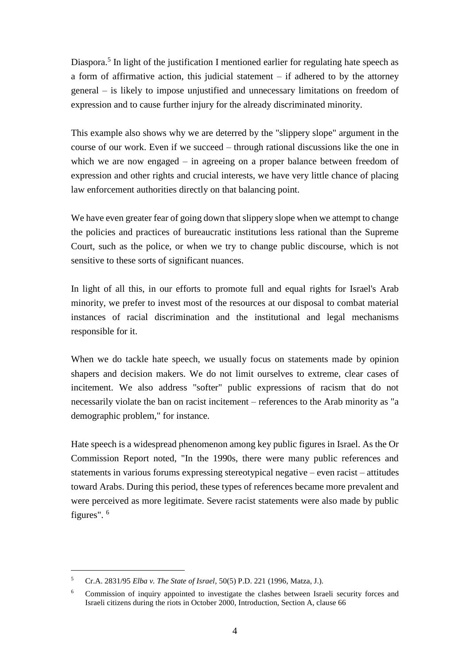<span id="page-3-0"></span>Diaspora.<sup>5</sup> In light of the justification I mentioned earlier for regulating hate speech as a form of affirmative action, this judicial statement – if adhered to by the attorney general – is likely to impose unjustified and unnecessary limitations on freedom of expression and to cause further injury for the already discriminated minority.

This example also shows why we are deterred by the "slippery slope" argument in the course of our work. Even if we succeed – through rational discussions like the one in which we are now engaged – in agreeing on a proper balance between freedom of expression and other rights and crucial interests, we have very little chance of placing law enforcement authorities directly on that balancing point.

We have even greater fear of going down that slippery slope when we attempt to change the policies and practices of bureaucratic institutions less rational than the Supreme Court, such as the police, or when we try to change public discourse, which is not sensitive to these sorts of significant nuances.

In light of all this, in our efforts to promote full and equal rights for Israel's Arab minority, we prefer to invest most of the resources at our disposal to combat material instances of racial discrimination and the institutional and legal mechanisms responsible for it.

When we do tackle hate speech, we usually focus on statements made by opinion shapers and decision makers. We do not limit ourselves to extreme, clear cases of incitement. We also address "softer" public expressions of racism that do not necessarily violate the ban on racist incitement – references to the Arab minority as "a demographic problem," for instance.

Hate speech is a widespread phenomenon among key public figures in Israel. As the Or Commission Report noted, "In the 1990s, there were many public references and statements in various forums expressing stereotypical negative – even racist – attitudes toward Arabs. During this period, these types of references became more prevalent and were perceived as more legitimate. Severe racist statements were also made by public figures". <sup>6</sup>

<sup>5</sup> Cr.A. 2831/95 *Elba v. The State of Israel*, 50(5) P.D. 221 (1996, Matza, J.).

<sup>&</sup>lt;sup>6</sup> Commission of inquiry appointed to investigate the clashes between Israeli security forces and Israeli citizens during the riots in October 2000, Introduction, Section A, clause 66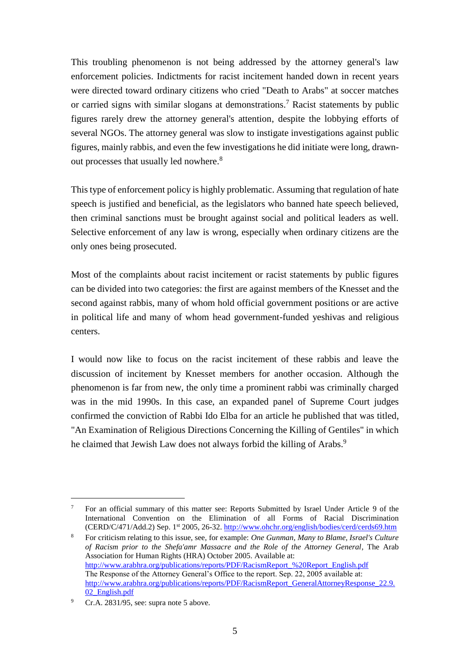This troubling phenomenon is not being addressed by the attorney general's law enforcement policies. Indictments for racist incitement handed down in recent years were directed toward ordinary citizens who cried "Death to Arabs" at soccer matches or carried signs with similar slogans at demonstrations.<sup>7</sup> Racist statements by public figures rarely drew the attorney general's attention, despite the lobbying efforts of several NGOs. The attorney general was slow to instigate investigations against public figures, mainly rabbis, and even the few investigations he did initiate were long, drawnout processes that usually led nowhere.<sup>8</sup>

This type of enforcement policy is highly problematic. Assuming that regulation of hate speech is justified and beneficial, as the legislators who banned hate speech believed, then criminal sanctions must be brought against social and political leaders as well. Selective enforcement of any law is wrong, especially when ordinary citizens are the only ones being prosecuted.

Most of the complaints about racist incitement or racist statements by public figures can be divided into two categories: the first are against members of the Knesset and the second against rabbis, many of whom hold official government positions or are active in political life and many of whom head government-funded yeshivas and religious centers.

I would now like to focus on the racist incitement of these rabbis and leave the discussion of incitement by Knesset members for another occasion. Although the phenomenon is far from new, the only time a prominent rabbi was criminally charged was in the mid 1990s. In this case, an expanded panel of Supreme Court judges confirmed the conviction of Rabbi Ido Elba for an article he published that was titled, "An Examination of Religious Directions Concerning the Killing of Gentiles" in which he claimed that Jewish Law does not always forbid the killing of Arabs.<sup>9</sup>

<sup>&</sup>lt;sup>7</sup> For an official summary of this matter see: Reports Submitted by Israel Under Article 9 of the International Convention on the Elimination of all Forms of Racial Discrimination (CERD/C/471/Add.2) Sep. 1st 2005, 26-32[. http://www.ohchr.org/english/bodies/cerd/cerds69.htm](http://www.ohchr.org/english/bodies/cerd/cerds69.htm)

<sup>8</sup> For criticism relating to this issue, see, for example: *One Gunman, Many to Blame, Israel's Culture of Racism prior to the Shefa'amr Massacre and the Role of the Attorney General*, The Arab Association for Human Rights (HRA) October 2005. Available at: [http://www.arabhra.org/publications/reports/PDF/RacismReport\\_%20Report\\_English.pdf](http://www.arabhra.org/publications/reports/PDF/RacismReport_%20Report_English.pdf) The Response of the Attorney General's Office to the report. Sep. 22, 2005 available at: [http://www.arabhra.org/publications/reports/PDF/RacismReport\\_GeneralAttorneyResponse\\_22.9.](http://www.arabhra.org/publications/reports/PDF/RacismReport_GeneralAttorneyResponse_22.9.02_English.pdf) [02\\_English.pdf](http://www.arabhra.org/publications/reports/PDF/RacismReport_GeneralAttorneyResponse_22.9.02_English.pdf)

<sup>&</sup>lt;sup>9</sup> Cr.A. 2831/95, see: supra note [5](#page-3-0) above.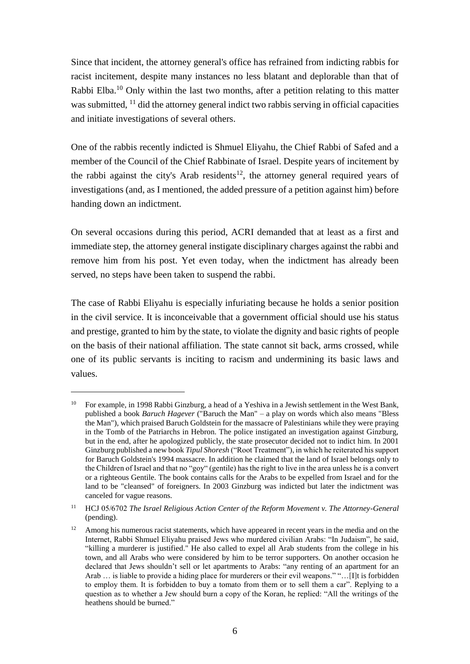Since that incident, the attorney general's office has refrained from indicting rabbis for racist incitement, despite many instances no less blatant and deplorable than that of Rabbi Elba.<sup>10</sup> Only within the last two months, after a petition relating to this matter was submitted, <sup>11</sup> did the attorney general indict two rabbis serving in official capacities and initiate investigations of several others.

One of the rabbis recently indicted is Shmuel Eliyahu, the Chief Rabbi of Safed and a member of the Council of the Chief Rabbinate of Israel. Despite years of incitement by the rabbi against the city's Arab residents<sup>12</sup>, the attorney general required years of investigations (and, as I mentioned, the added pressure of a petition against him) before handing down an indictment.

On several occasions during this period, ACRI demanded that at least as a first and immediate step, the attorney general instigate disciplinary charges against the rabbi and remove him from his post. Yet even today, when the indictment has already been served, no steps have been taken to suspend the rabbi.

The case of Rabbi Eliyahu is especially infuriating because he holds a senior position in the civil service. It is inconceivable that a government official should use his status and prestige, granted to him by the state, to violate the dignity and basic rights of people on the basis of their national affiliation. The state cannot sit back, arms crossed, while one of its public servants is inciting to racism and undermining its basic laws and values.

<sup>10</sup> For example, in 1998 Rabbi Ginzburg, a head of a Yeshiva in a Jewish settlement in the West Bank, published a book *Baruch Hagever* ("Baruch the Man" – a play on words which also means "Bless the Man"), which praised Baruch Goldstein for the massacre of Palestinians while they were praying in the Tomb of the Patriarchs in Hebron. The police instigated an investigation against Ginzburg, but in the end, after he apologized publicly, the state prosecutor decided not to indict him. In 2001 Ginzburg published a new book *Tipul Shoresh* ("Root Treatment"), in which he reiterated his support for Baruch Goldstein's 1994 massacre. In addition he claimed that the land of Israel belongs only to the Children of Israel and that no "goy" (gentile) has the right to live in the area unless he is a convert or a righteous Gentile. The book contains calls for the Arabs to be expelled from Israel and for the land to be "cleansed" of foreigners. In 2003 Ginzburg was indicted but later the indictment was canceled for vague reasons.

<sup>11</sup> HCJ 05/6702 *The Israel Religious Action Center of the Reform Movement v. The Attorney-General* (pending).

<sup>&</sup>lt;sup>12</sup> Among his numerous racist statements, which have appeared in recent years in the media and on the Internet, Rabbi Shmuel Eliyahu praised Jews who murdered civilian Arabs: "In Judaism", he said, "killing a murderer is justified." He also called to expel all Arab students from the college in his town, and all Arabs who were considered by him to be terror supporters. On another occasion he declared that Jews shouldn't sell or let apartments to Arabs: "any renting of an apartment for an Arab … is liable to provide a hiding place for murderers or their evil weapons." "…[I]t is forbidden to employ them. It is forbidden to buy a tomato from them or to sell them a car". Replying to a question as to whether a Jew should burn a copy of the Koran, he replied: "All the writings of the heathens should be burned."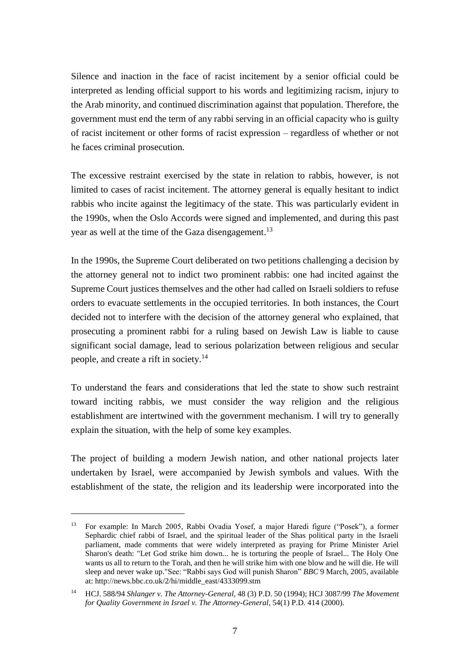Silence and inaction in the face of racist incitement by a senior official could be interpreted as lending official support to his words and legitimizing racism, injury to the Arab minority, and continued discrimination against that population. Therefore, the government must end the term of any rabbi serving in an official capacity who is guilty of racist incitement or other forms of racist expression – regardless of whether or not he faces criminal prosecution.

The excessive restraint exercised by the state in relation to rabbis, however, is not limited to cases of racist incitement. The attorney general is equally hesitant to indict rabbis who incite against the legitimacy of the state. This was particularly evident in the 1990s, when the Oslo Accords were signed and implemented, and during this past year as well at the time of the Gaza disengagement.<sup>13</sup>

In the 1990s, the Supreme Court deliberated on two petitions challenging a decision by the attorney general not to indict two prominent rabbis: one had incited against the Supreme Court justices themselves and the other had called on Israeli soldiers to refuse orders to evacuate settlements in the occupied territories. In both instances, the Court decided not to interfere with the decision of the attorney general who explained, that prosecuting a prominent rabbi for a ruling based on Jewish Law is liable to cause significant social damage, lead to serious polarization between religious and secular people, and create a rift in society.<sup>14</sup>

To understand the fears and considerations that led the state to show such restraint toward inciting rabbis, we must consider the way religion and the religious establishment are intertwined with the government mechanism. I will try to generally explain the situation, with the help of some key examples.

The project of building a modern Jewish nation, and other national projects later undertaken by Israel, were accompanied by Jewish symbols and values. With the establishment of the state, the religion and its leadership were incorporated into the

<sup>13</sup> For example: In March 2005, Rabbi Ovadia Yosef, a major Haredi figure ("Posek"), a former Sephardic chief rabbi of Israel, and the spiritual leader of the Shas political party in the Israeli parliament, made comments that were widely interpreted as praying for Prime Minister Ariel Sharon's death: "Let God strike him down... he is torturing the people of Israel... The Holy One wants us all to return to the Torah, and then he will strike him with one blow and he will die. He will sleep and never wake up."See: "Rabbi says God will punish Sharon" *BBC* 9 March, 2005, available at: http://news.bbc.co.uk/2/hi/middle\_east/4333099.stm

<sup>14</sup> HCJ. 588/94 *Shlanger v. The Attorney-General*, 48 (3) P.D. 50 (1994); HCJ 3087/99 *The Movement for Quality Government in Israel v. The Attorney-General*, 54(1) P.D. 414 (2000).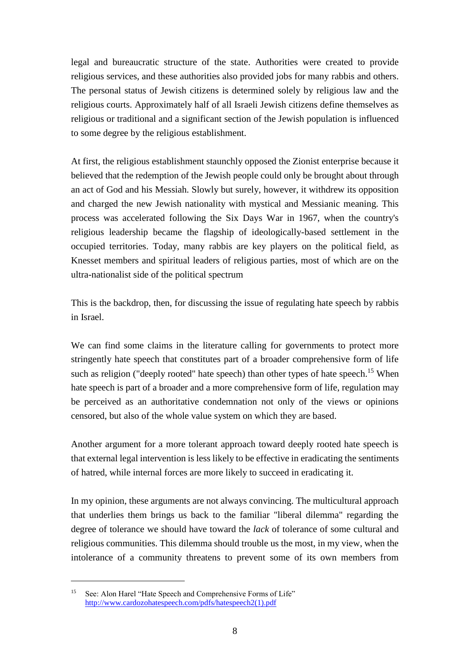legal and bureaucratic structure of the state. Authorities were created to provide religious services, and these authorities also provided jobs for many rabbis and others. The personal status of Jewish citizens is determined solely by religious law and the religious courts. Approximately half of all Israeli Jewish citizens define themselves as religious or traditional and a significant section of the Jewish population is influenced to some degree by the religious establishment.

At first, the religious establishment staunchly opposed the Zionist enterprise because it believed that the redemption of the Jewish people could only be brought about through an act of God and his Messiah. Slowly but surely, however, it withdrew its opposition and charged the new Jewish nationality with mystical and Messianic meaning. This process was accelerated following the Six Days War in 1967, when the country's religious leadership became the flagship of ideologically-based settlement in the occupied territories. Today, many rabbis are key players on the political field, as Knesset members and spiritual leaders of religious parties, most of which are on the ultra-nationalist side of the political spectrum

This is the backdrop, then, for discussing the issue of regulating hate speech by rabbis in Israel.

We can find some claims in the literature calling for governments to protect more stringently hate speech that constitutes part of a broader comprehensive form of life such as religion ("deeply rooted" hate speech) than other types of hate speech.<sup>15</sup> When hate speech is part of a broader and a more comprehensive form of life, regulation may be perceived as an authoritative condemnation not only of the views or opinions censored, but also of the whole value system on which they are based.

Another argument for a more tolerant approach toward deeply rooted hate speech is that external legal intervention is less likely to be effective in eradicating the sentiments of hatred, while internal forces are more likely to succeed in eradicating it.

In my opinion, these arguments are not always convincing. The multicultural approach that underlies them brings us back to the familiar "liberal dilemma" regarding the degree of tolerance we should have toward the *lack* of tolerance of some cultural and religious communities. This dilemma should trouble us the most, in my view, when the intolerance of a community threatens to prevent some of its own members from

<sup>&</sup>lt;sup>15</sup> See: Alon Harel "Hate Speech and Comprehensive Forms of Life" [http://www.cardozohatespeech.com/pdfs/hatespeech2\(1\).pdf](http://www.cardozohatespeech.com/pdfs/hatespeech2(1).pdf)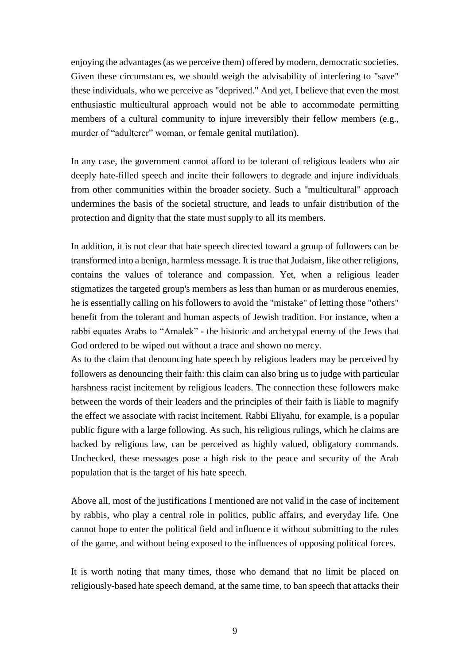enjoying the advantages (as we perceive them) offered by modern, democratic societies. Given these circumstances, we should weigh the advisability of interfering to "save" these individuals, who we perceive as "deprived." And yet, I believe that even the most enthusiastic multicultural approach would not be able to accommodate permitting members of a cultural community to injure irreversibly their fellow members (e.g., murder of "adulterer" woman, or female genital mutilation).

In any case, the government cannot afford to be tolerant of religious leaders who air deeply hate-filled speech and incite their followers to degrade and injure individuals from other communities within the broader society. Such a "multicultural" approach undermines the basis of the societal structure, and leads to unfair distribution of the protection and dignity that the state must supply to all its members.

In addition, it is not clear that hate speech directed toward a group of followers can be transformed into a benign, harmless message. It is true that Judaism, like other religions, contains the values of tolerance and compassion. Yet, when a religious leader stigmatizes the targeted group's members as less than human or as murderous enemies, he is essentially calling on his followers to avoid the "mistake" of letting those "others" benefit from the tolerant and human aspects of Jewish tradition. For instance, when a rabbi equates Arabs to "Amalek" - the historic and archetypal enemy of the Jews that God ordered to be wiped out without a trace and shown no mercy.

As to the claim that denouncing hate speech by religious leaders may be perceived by followers as denouncing their faith: this claim can also bring us to judge with particular harshness racist incitement by religious leaders. The connection these followers make between the words of their leaders and the principles of their faith is liable to magnify the effect we associate with racist incitement. Rabbi Eliyahu, for example, is a popular public figure with a large following. As such, his religious rulings, which he claims are backed by religious law, can be perceived as highly valued, obligatory commands. Unchecked, these messages pose a high risk to the peace and security of the Arab population that is the target of his hate speech.

Above all, most of the justifications I mentioned are not valid in the case of incitement by rabbis, who play a central role in politics, public affairs, and everyday life. One cannot hope to enter the political field and influence it without submitting to the rules of the game, and without being exposed to the influences of opposing political forces.

It is worth noting that many times, those who demand that no limit be placed on religiously-based hate speech demand, at the same time, to ban speech that attacks their